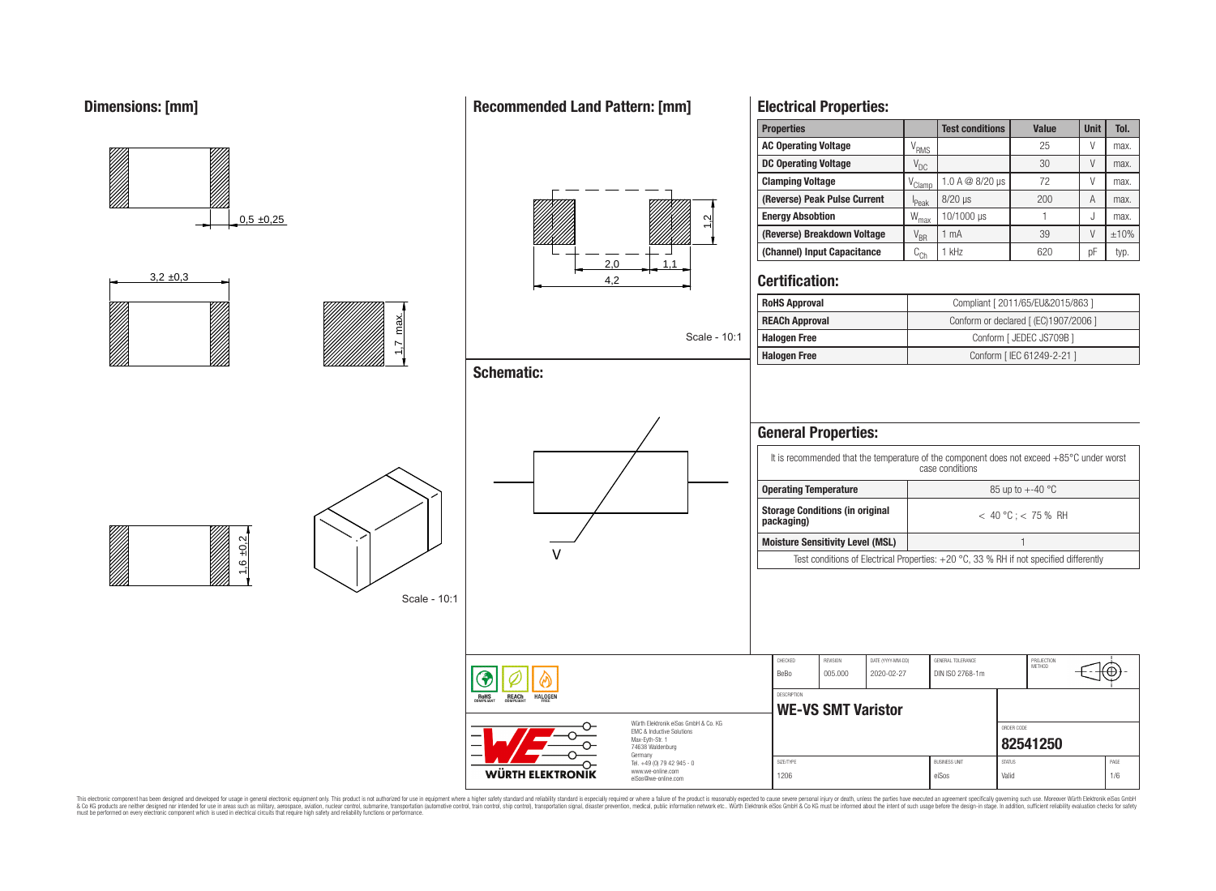

This electronic component has been designed and developed for usage in general electronic equipment only. This product is not authorized for use in equipment where a higher safely standard and reliability standard si espec & Ook product a label and the membed of the seasuch as marked and as which such a membed and the such assume that income in the seasuch and the simulation and the such assume that include to the such a membed and the such

**WÜRTH ELEKTRONIK** 

www.we-online.com eiSos@we-online.com

1206 eiSos Valid Valid 1/6 eiSos Valid Valid 1/6 ei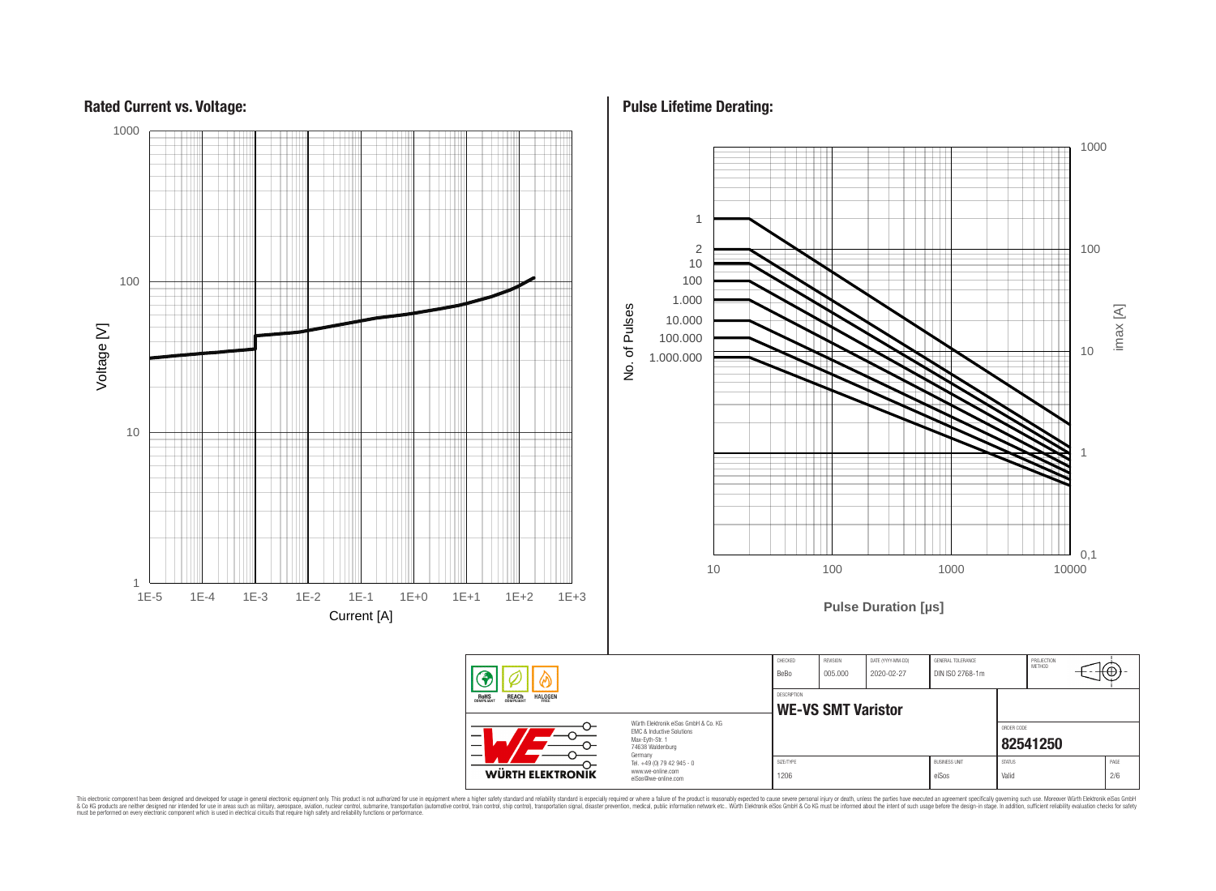

**Pulse Lifetime Derating:**

This electronic component has been designed and developed for usage in general electronic equipment only. This product is not authorized for subserved requipment where a higher selection equipment where a higher selection

## **Rated Current vs. Voltage:**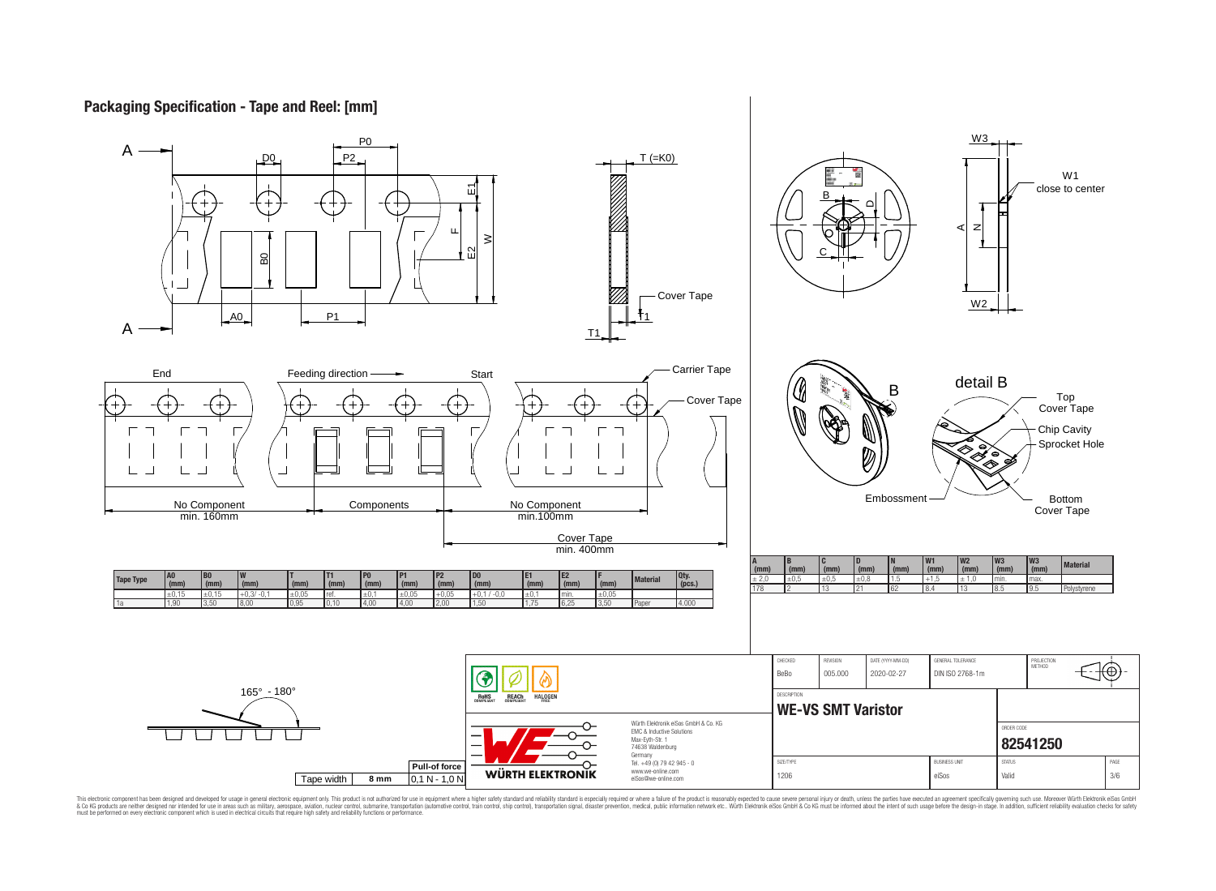# **Packaging Specification - Tape and Reel: [mm]**



This electronic component has been designed and developed for usage in general electronic equipment only. This product is not authorized for subserved requipment where a higher selection equipment where a higher selection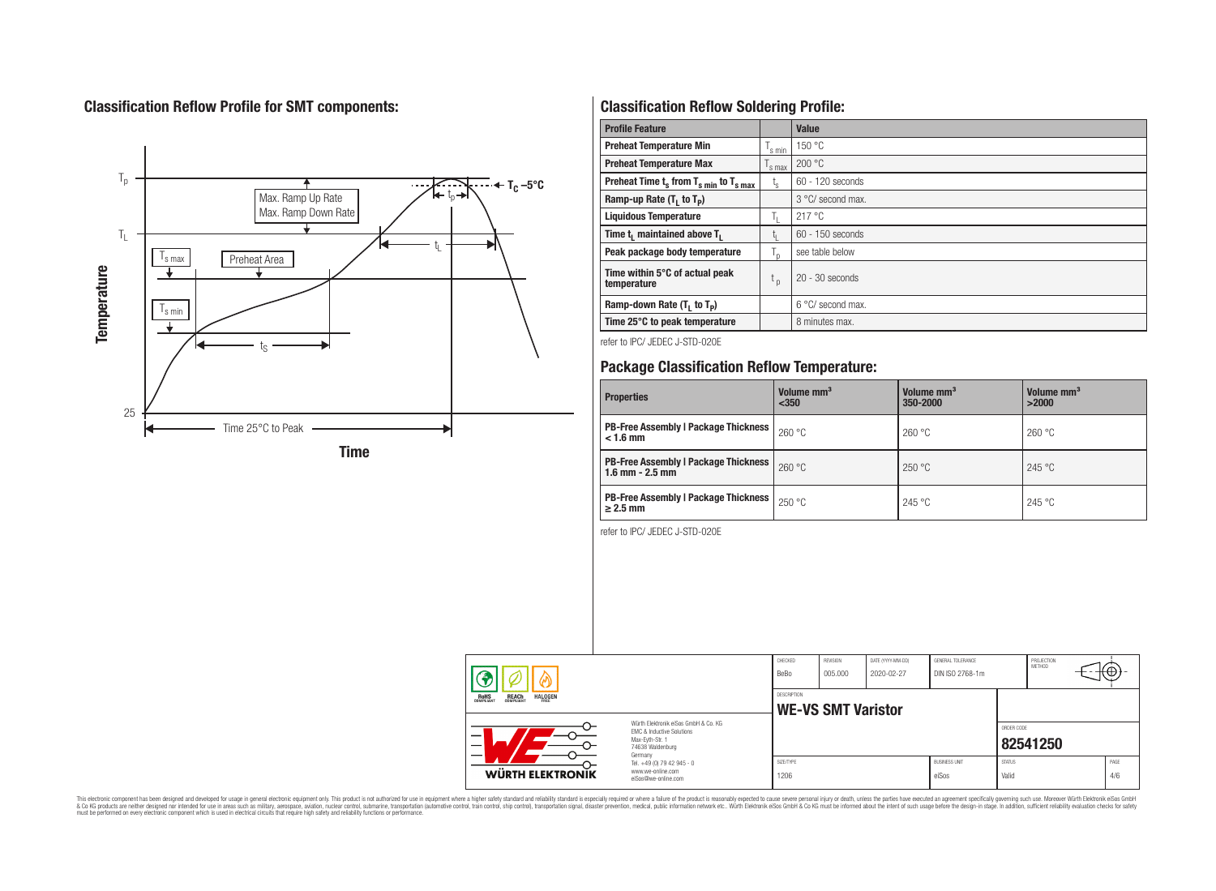# **Classification Reflow Profile for SMT components:**



# **Classification Reflow Soldering Profile:**

| <b>Profile Feature</b>                                               |                | <b>Value</b>       |
|----------------------------------------------------------------------|----------------|--------------------|
| <b>Preheat Temperature Min</b>                                       | 's min         | 150 °C             |
| <b>Preheat Temperature Max</b>                                       | s max          | 200 °C             |
| Preheat Time $t_s$ from $T_s$ <sub>min</sub> to $T_s$ <sub>max</sub> | $t_{\rm s}$    | 60 - 120 seconds   |
| Ramp-up Rate $(T_1$ to $T_p$ )                                       |                | 3 °C/ second max.  |
| <b>Liquidous Temperature</b>                                         | Ь.             | 217 °C             |
| Time t <sub>1</sub> maintained above T <sub>1</sub>                  | Ţ.             | $60 - 150$ seconds |
| Peak package body temperature                                        | l <sub>n</sub> | see table below    |
| Time within 5°C of actual peak<br>temperature                        | $t_{p}$        | $20 - 30$ seconds  |
| Ramp-down Rate $(T_1$ to $T_p)$                                      |                | 6 °C/ second max.  |
| Time 25°C to peak temperature                                        |                | 8 minutes max.     |

refer to IPC/ JEDEC J-STD-020E

# **Package Classification Reflow Temperature:**

| <b>Properties</b>                                                    | Volume mm <sup>3</sup><br>$350$ | Volume mm <sup>3</sup><br>350-2000 | Volume mm <sup>3</sup><br>>2000 |
|----------------------------------------------------------------------|---------------------------------|------------------------------------|---------------------------------|
| <b>PB-Free Assembly   Package Thickness  </b><br>$< 1.6$ mm          | 260 °C                          | 260 °C                             | 260 °C                          |
| <b>PB-Free Assembly   Package Thickness  </b><br>$1.6$ mm $- 2.5$ mm | 260 °C                          | 250 °C                             | 245 °C                          |
| <b>PB-Free Assembly   Package Thickness  </b><br>$\geq$ 2.5 mm       | 250 °C                          | 245 °C                             | 245 °C                          |

refer to IPC/ JEDEC J-STD-020E

| <b>REACH</b><br>COMPLIANT<br><b>HALOGEN</b><br>ROHS<br>COMPLIANT |                                                                                                          | BeBo<br><b>DESCRIPTION</b> | 005.000<br>2020-02-27<br><b>WE-VS SMT Varistor</b> |  |  |            | <b>METHOD</b> | (⊕+ |
|------------------------------------------------------------------|----------------------------------------------------------------------------------------------------------|----------------------------|----------------------------------------------------|--|--|------------|---------------|-----|
|                                                                  | Würth Flektronik eiSos GmbH & Co. KG<br>EMC & Inductive Solutions<br>Max-Evth-Str. 1<br>74638 Waldenburg |                            |                                                    |  |  | ORDER CODE |               |     |
|                                                                  | Germany                                                                                                  |                            |                                                    |  |  |            | 82541250      |     |

This electronic component has been designed and developed for usage in general electronic equipment only. This product is not authorized for subserved requipment where a higher selection equipment where a higher selection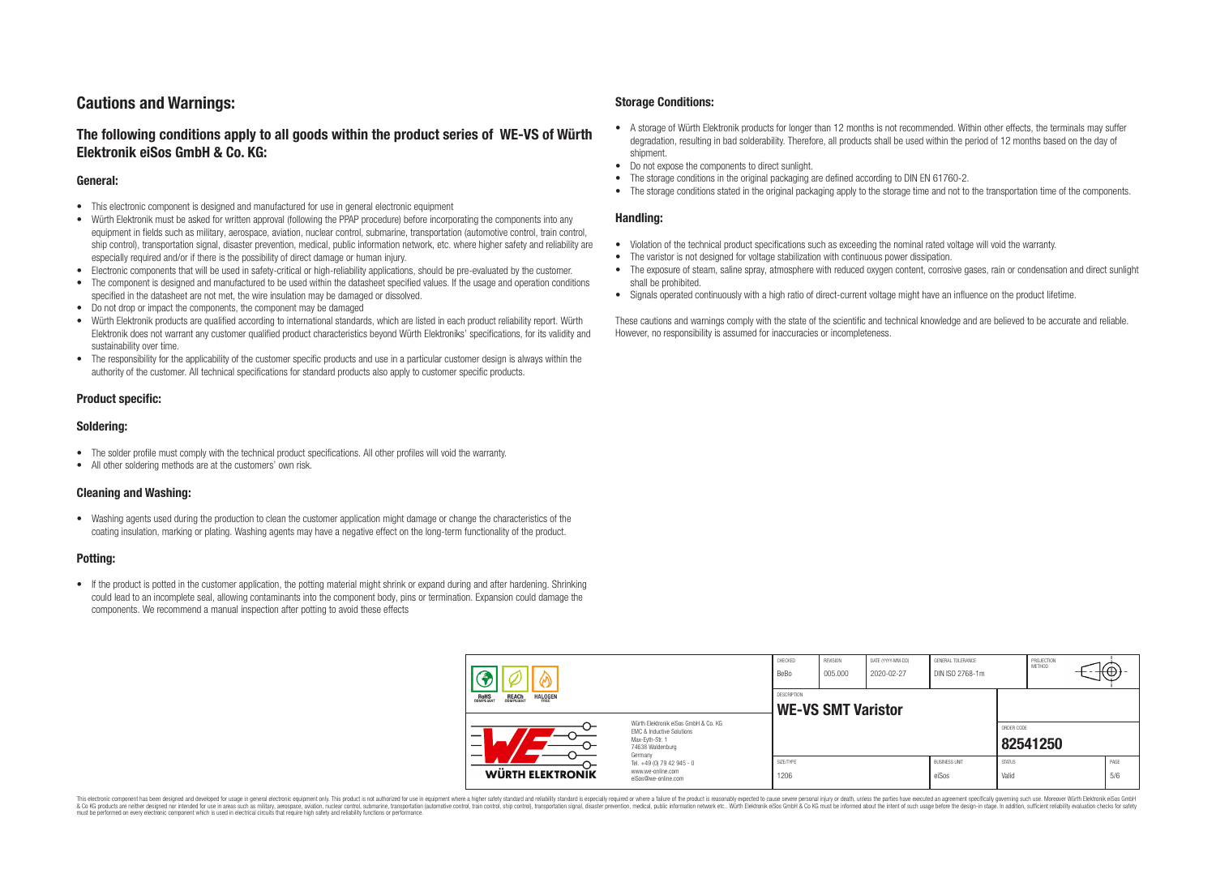## **Cautions and Warnings:**

## **The following conditions apply to all goods within the product series of WE-VS of Würth Elektronik eiSos GmbH & Co. KG:**

#### **General:**

- This electronic component is designed and manufactured for use in general electronic equipment
- Würth Elektronik must be asked for written approval (following the PPAP procedure) before incorporating the components into any equipment in fields such as military, aerospace, aviation, nuclear control, submarine, transportation (automotive control, train control, ship control), transportation signal, disaster prevention, medical, public information network, etc. where higher safety and reliability are especially required and/or if there is the possibility of direct damage or human injury.
- Electronic components that will be used in safety-critical or high-reliability applications, should be pre-evaluated by the customer.
- The component is designed and manufactured to be used within the datasheet specified values. If the usage and operation conditions specified in the datasheet are not met, the wire insulation may be damaged or dissolved.
- Do not drop or impact the components, the component may be damaged
- Würth Elektronik products are qualified according to international standards, which are listed in each product reliability report. Würth Elektronik does not warrant any customer qualified product characteristics beyond Würth Elektroniks' specifications, for its validity and sustainability over time.
- The responsibility for the applicability of the customer specific products and use in a particular customer design is always within the authority of the customer. All technical specifications for standard products also apply to customer specific products.

### **Product specific:**

#### **Soldering:**

- The solder profile must comply with the technical product specifications. All other profiles will void the warranty.
- All other soldering methods are at the customers' own risk.

#### **Cleaning and Washing:**

• Washing agents used during the production to clean the customer application might damage or change the characteristics of the coating insulation, marking or plating. Washing agents may have a negative effect on the long-term functionality of the product.

#### **Potting:**

• If the product is potted in the customer application, the potting material might shrink or expand during and after hardening. Shrinking could lead to an incomplete seal, allowing contaminants into the component body, pins or termination. Expansion could damage the components. We recommend a manual inspection after potting to avoid these effects

#### **Storage Conditions:**

- A storage of Würth Elektronik products for longer than 12 months is not recommended. Within other effects, the terminals may suffer degradation, resulting in bad solderability. Therefore, all products shall be used within the period of 12 months based on the day of shipment.
- Do not expose the components to direct sunlight.<br>• The storage conditions in the original packaging
- The storage conditions in the original packaging are defined according to DIN EN 61760-2.
- The storage conditions stated in the original packaging apply to the storage time and not to the transportation time of the components.

#### **Handling:**

- Violation of the technical product specifications such as exceeding the nominal rated voltage will void the warranty.
- The varistor is not designed for voltage stabilization with continuous power dissipation
- The exposure of steam, saline spray, atmosphere with reduced oxygen content, corrosive gases, rain or condensation and direct sunlight shall be prohibited.
- Signals operated continuously with a high ratio of direct-current voltage might have an influence on the product lifetime.

These cautions and warnings comply with the state of the scientific and technical knowledge and are believed to be accurate and reliable. However, no responsibility is assumed for inaccuracies or incompleteness.

|                         |                                                                         | CHECKED<br>BeBo                                                                                                     | <b>REVISION</b><br>005.000                      | DATE (YYYY-MM-DD)<br>2020-02-27 | GENERAL TOLERANCE<br>DIN ISO 2768-1m |                               | PROJECTION<br>METHOD   | ⊬⊕∶      |             |  |
|-------------------------|-------------------------------------------------------------------------|---------------------------------------------------------------------------------------------------------------------|-------------------------------------------------|---------------------------------|--------------------------------------|-------------------------------|------------------------|----------|-------------|--|
|                         | <b>REACH</b><br>COMPLIANT<br><b>HALOGEN</b><br><b>ROHS</b><br>COMPLIANT |                                                                                                                     | <b>DESCRIPTION</b><br><b>WE-VS SMT Varistor</b> |                                 |                                      |                               |                        |          |             |  |
|                         | –                                                                       | Würth Elektronik eiSos GmbH & Co. KG<br>EMC & Inductive Solutions<br>Max-Eyth-Str. 1<br>74638 Waldenburg<br>Germany |                                                 |                                 |                                      |                               | ORDER CODE             | 82541250 |             |  |
| <b>WÜRTH ELEKTRONIK</b> |                                                                         | Tel. +49 (0) 79 42 945 - 0<br>www.we-online.com<br>eiSos@we-online.com                                              | SIZE/TYPE<br>1206                               |                                 |                                      | <b>BUSINESS UNIT</b><br>eiSos | <b>STATUS</b><br>Valid |          | PAGE<br>5/6 |  |

This electronic component has been designed and developed for usage in general electronic equipment only. This product is not authorized for use in equipment where a higher safety standard and reliability standard si espec & Ook product a label and the membed of the seasuch as marked and as which such a membed and the such assume that income in the seasuch and the simulation and the such assume that include to the such a membed and the such